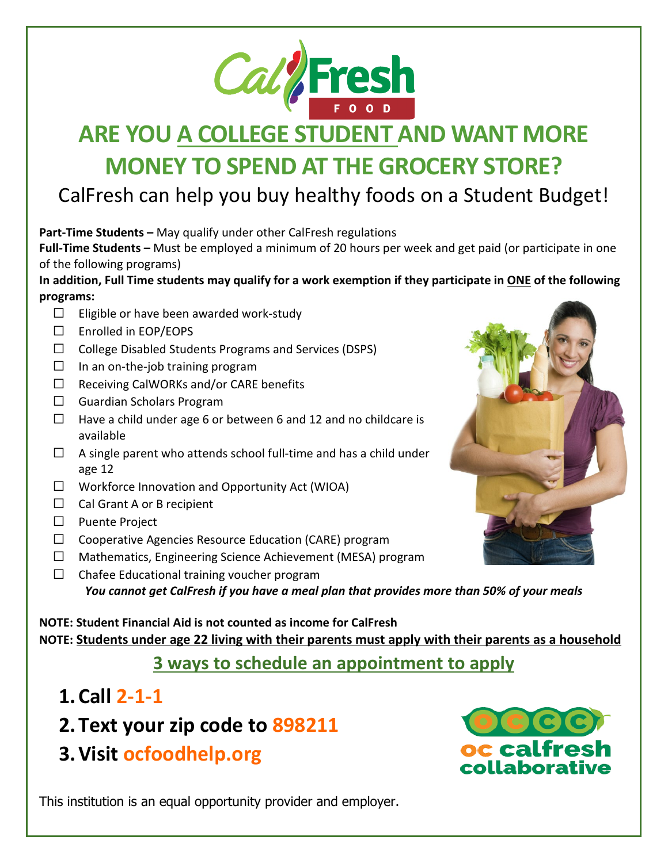

# **ARE YOU A COLLEGE STUDENT AND WANT MORE MONEY TO SPEND AT THE GROCERY STORE?**

#### CalFresh can help you buy healthy foods on a Student Budget!

**Part-Time Students –** May qualify under other CalFresh regulations

**Full-Time Students –** Must be employed a minimum of 20 hours per week and get paid (or participate in one of the following programs)

**In addition, Full Time students may qualify for a work exemption if they participate in ONE of the following programs:**

- $\Box$  Eligible or have been awarded work-study
- $\Box$  Enrolled in EOP/EOPS
- $\Box$  College Disabled Students Programs and Services (DSPS)
- $\square$  In an on-the-job training program
- $\Box$  Receiving CalWORKs and/or CARE benefits
- $\Box$  Guardian Scholars Program
- $\Box$  Have a child under age 6 or between 6 and 12 and no childcare is available
- $\Box$  A single parent who attends school full-time and has a child under age 12
- $\Box$  Workforce Innovation and Opportunity Act (WIOA)
- $\Box$  Cal Grant A or B recipient
- □ Puente Project
- $\Box$  Cooperative Agencies Resource Education (CARE) program
- □ Mathematics, Engineering Science Achievement (MESA) program
- $\Box$  Chafee Educational training voucher program *You cannot get CalFresh if you have a meal plan that provides more than 50% of your meals*

**NOTE: Student Financial Aid is not counted as income for CalFresh NOTE: Students under age 22 living with their parents must apply with their parents as a household**

#### **3 ways to schedule an appointment to apply**

- **1.Call 2-1-1**
- **2.Text your zip code to 898211**
- **3.Visit ocfoodhelp.org**

oc calfres collaborati

This institution is an equal opportunity provider and employer.